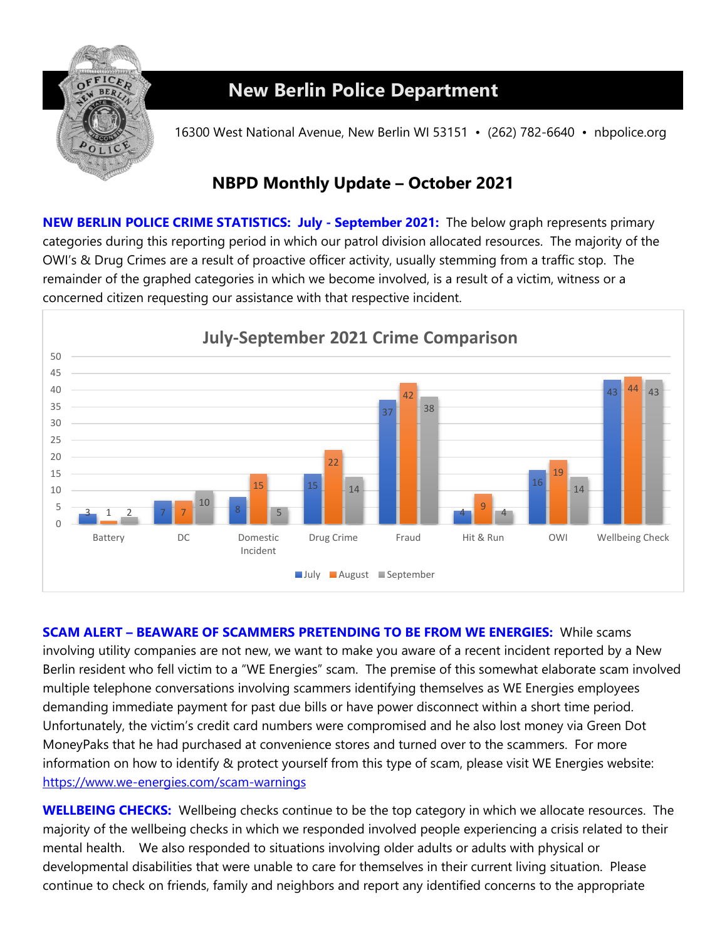

## **New Berlin Police Department**

16300 West National Avenue, New Berlin WI 53151 • (262) 782-6640 • nbpolice.org

## **NBPD Monthly Update – October 2021**

**NEW BERLIN POLICE CRIME STATISTICS: July - September 2021:** The below graph represents primary categories during this reporting period in which our patrol division allocated resources. The majority of the OWI's & Drug Crimes are a result of proactive officer activity, usually stemming from a traffic stop. The remainder of the graphed categories in which we become involved, is a result of a victim, witness or a concerned citizen requesting our assistance with that respective incident.



**SCAM ALERT – BEAWARE OF SCAMMERS PRETENDING TO BE FROM WE ENERGIES:** While scams involving utility companies are not new, we want to make you aware of a recent incident reported by a New Berlin resident who fell victim to a "WE Energies" scam. The premise of this somewhat elaborate scam involved multiple telephone conversations involving scammers identifying themselves as WE Energies employees demanding immediate payment for past due bills or have power disconnect within a short time period. Unfortunately, the victim's credit card numbers were compromised and he also lost money via Green Dot MoneyPaks that he had purchased at convenience stores and turned over to the scammers.For more information on how to identify & protect yourself from this type of scam, please visit WE Energies website: <https://www.we-energies.com/scam-warnings>

**WELLBEING CHECKS:** Wellbeing checks continue to be the top category in which we allocate resources. The majority of the wellbeing checks in which we responded involved people experiencing a crisis related to their mental health. We also responded to situations involving older adults or adults with physical or developmental disabilities that were unable to care for themselves in their current living situation. Please continue to check on friends, family and neighbors and report any identified concerns to the appropriate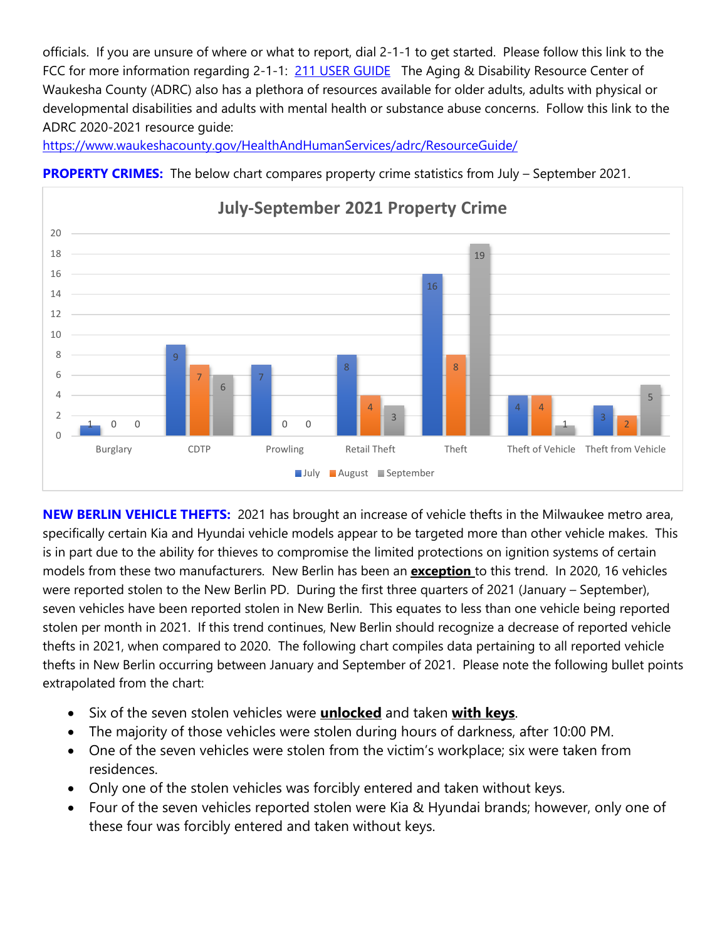officials. If you are unsure of where or what to report, dial 2-1-1 to get started. Please follow this link to the FCC for more information regarding 2-1-1: [211 USER GUIDE](https://www.fcc.gov/consumers/guides/dial-211-essential-community-services) The Aging & Disability Resource Center of Waukesha County (ADRC) also has a plethora of resources available for older adults, adults with physical or developmental disabilities and adults with mental health or substance abuse concerns. Follow this link to the ADRC 2020-2021 resource guide:

<https://www.waukeshacounty.gov/HealthAndHumanServices/adrc/ResourceGuide/>



**PROPERTY CRIMES:** The below chart compares property crime statistics from July – September 2021.

**NEW BERLIN VEHICLE THEFTS:** 2021 has brought an increase of vehicle thefts in the Milwaukee metro area, specifically certain Kia and Hyundai vehicle models appear to be targeted more than other vehicle makes. This is in part due to the ability for thieves to compromise the limited protections on ignition systems of certain models from these two manufacturers. New Berlin has been an **exception** to this trend. In 2020, 16 vehicles were reported stolen to the New Berlin PD. During the first three quarters of 2021 (January – September), seven vehicles have been reported stolen in New Berlin. This equates to less than one vehicle being reported stolen per month in 2021. If this trend continues, New Berlin should recognize a decrease of reported vehicle thefts in 2021, when compared to 2020. The following chart compiles data pertaining to all reported vehicle thefts in New Berlin occurring between January and September of 2021. Please note the following bullet points extrapolated from the chart:

- Six of the seven stolen vehicles were **unlocked** and taken **with keys**.
- The majority of those vehicles were stolen during hours of darkness, after 10:00 PM.
- One of the seven vehicles were stolen from the victim's workplace; six were taken from residences.
- Only one of the stolen vehicles was forcibly entered and taken without keys.
- Four of the seven vehicles reported stolen were Kia & Hyundai brands; however, only one of these four was forcibly entered and taken without keys.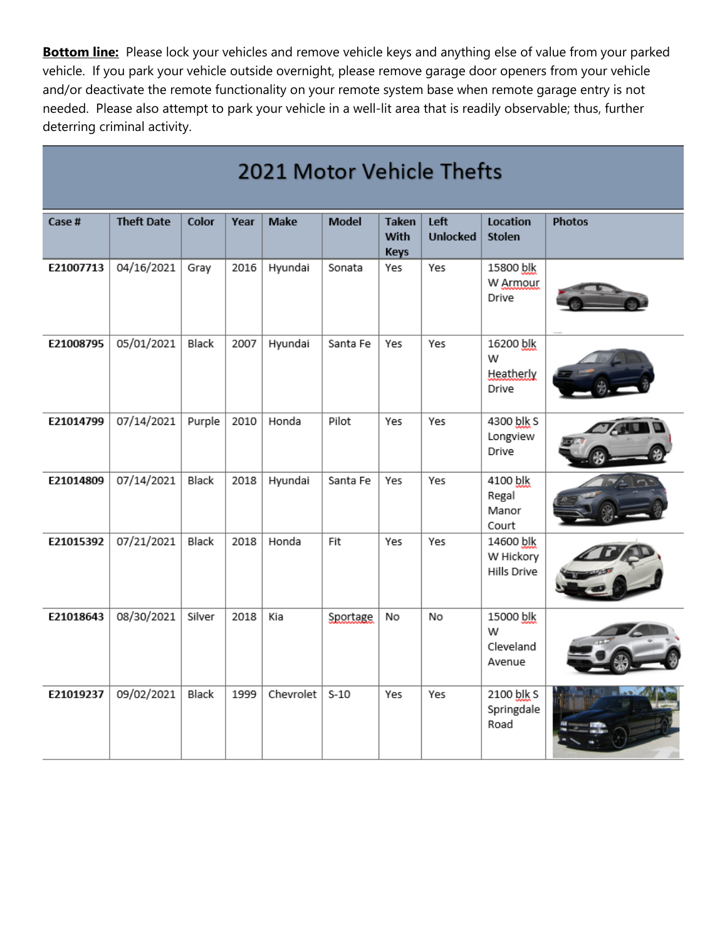**Bottom line:** Please lock your vehicles and remove vehicle keys and anything else of value from your parked vehicle. If you park your vehicle outside overnight, please remove garage door openers from your vehicle and/or deactivate the remote functionality on your remote system base when remote garage entry is not needed. Please also attempt to park your vehicle in a well-lit area that is readily observable; thus, further deterring criminal activity.

| 2021 Motor Vehicle Thefts |                   |        |      |           |              |                                     |                         |                                       |               |
|---------------------------|-------------------|--------|------|-----------|--------------|-------------------------------------|-------------------------|---------------------------------------|---------------|
| Case #                    | <b>Theft Date</b> | Color  | Year | Make      | <b>Model</b> | <b>Taken</b><br>With<br><b>Keys</b> | Left<br><b>Unlocked</b> | Location<br><b>Stolen</b>             | <b>Photos</b> |
| E21007713                 | 04/16/2021        | Gray   | 2016 | Hyundai   | Sonata       | Yes                                 | Yes                     | 15800 blk<br>W Armour<br>Drive        |               |
| E21008795                 | 05/01/2021        | Black  | 2007 | Hyundai   | Santa Fe     | Yes                                 | Yes                     | 16200 blk<br>W<br>Heatherly<br>Drive  |               |
| E21014799                 | 07/14/2021        | Purple | 2010 | Honda     | Pilot        | Yes                                 | Yes                     | 4300 blk S<br>Longview<br>Drive       |               |
| E21014809                 | 07/14/2021        | Black  | 2018 | Hyundai   | Santa Fe     | Yes                                 | Yes                     | 4100 blk<br>Regal<br>Manor<br>Court   |               |
| E21015392                 | 07/21/2021        | Black  | 2018 | Honda     | Fit          | Yes                                 | Yes                     | 14600 blk<br>W Hickory<br>Hills Drive |               |
| E21018643                 | 08/30/2021        | Silver | 2018 | Kia       | Sportage     | No                                  | No                      | 15000 blk<br>W<br>Cleveland<br>Avenue |               |
| E21019237                 | 09/02/2021        | Black  | 1999 | Chevrolet | $S-10$       | Yes                                 | Yes                     | 2100 blk S<br>Springdale<br>Road      |               |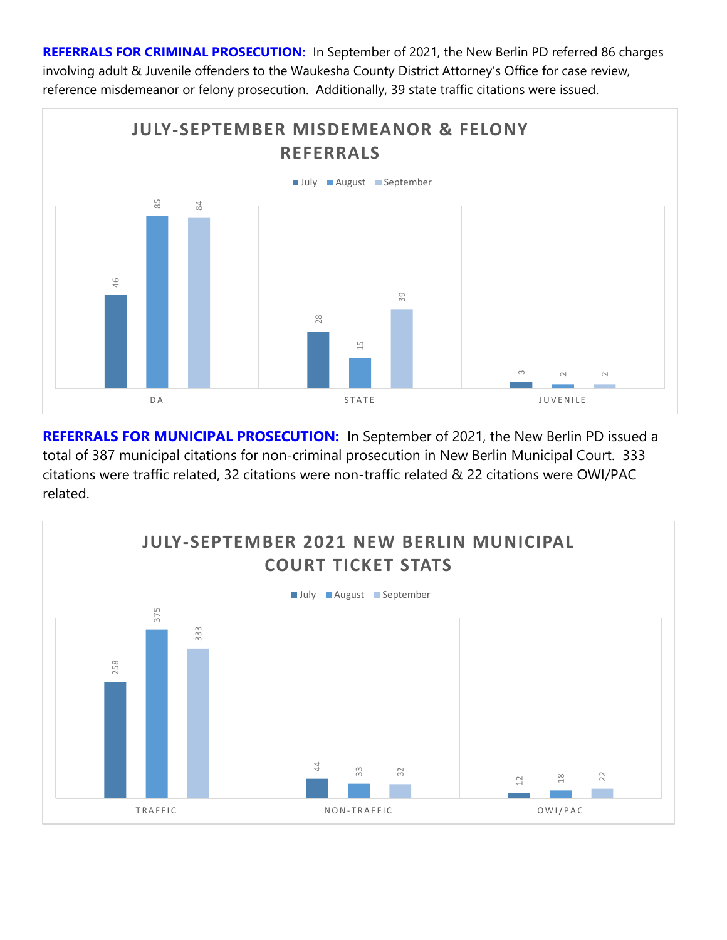**REFERRALS FOR CRIMINAL PROSECUTION:** In September of 2021, the New Berlin PD referred 86 charges involving adult & Juvenile offenders to the Waukesha County District Attorney's Office for case review, reference misdemeanor or felony prosecution. Additionally, 39 state traffic citations were issued.

![](_page_3_Figure_1.jpeg)

**REFERRALS FOR MUNICIPAL PROSECUTION:** In September of 2021, the New Berlin PD issued a total of 387 municipal citations for non-criminal prosecution in New Berlin Municipal Court. 333 citations were traffic related, 32 citations were non-traffic related & 22 citations were OWI/PAC related.

![](_page_3_Figure_3.jpeg)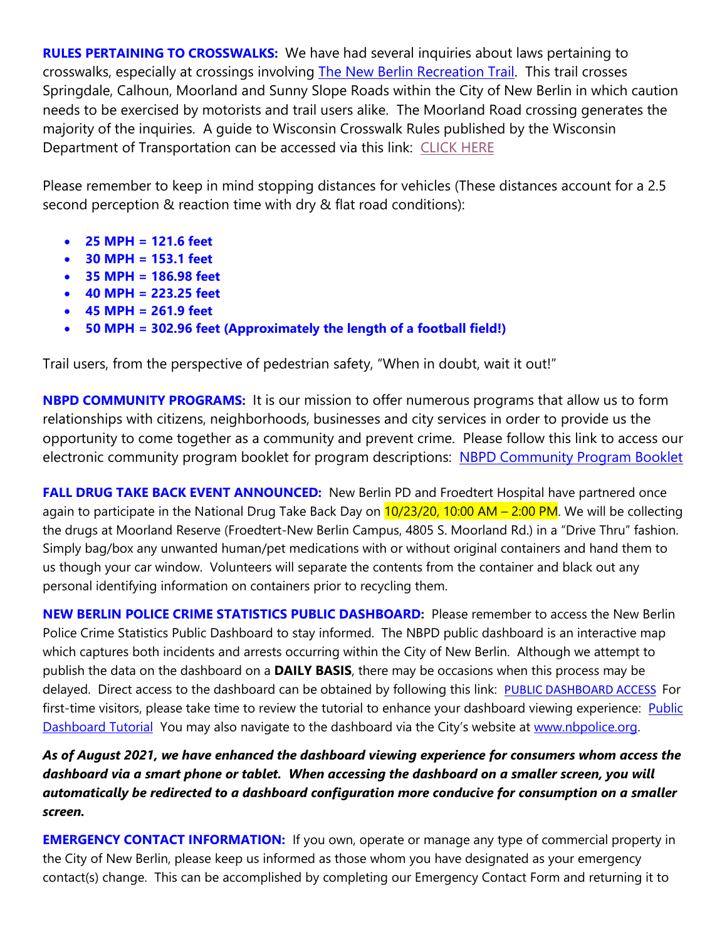**RULES PERTAINING TO CROSSWALKS:** We have had several inquiries about laws pertaining to crosswalks, especially at crossings involving [The New Berlin Recreation Trail.](https://www.traillink.com/trail/new-berlin-recreation-trail/) This trail crosses Springdale, Calhoun, Moorland and Sunny Slope Roads within the City of New Berlin in which caution needs to be exercised by motorists and trail users alike. The Moorland Road crossing generates the majority of the inquiries. A guide to Wisconsin Crosswalk Rules published by the Wisconsin Department of Transportation can be accessed via this link: [CLICK HERE](https://wisconsindot.gov/Pages/safety/education/bike/guide.aspx?fbclid=IwAR13UdSyyenj0fCRz3V7dU8-Yp_D1ZexSYEASX5jjfrFxGHLpyhbXxRRj9s)

Please remember to keep in mind stopping distances for vehicles (These distances account for a 2.5 second perception & reaction time with dry & flat road conditions):

- **25 MPH = 121.6 feet**
- **30 MPH = 153.1 feet**
- **35 MPH = 186.98 feet**
- **40 MPH = 223.25 feet**
- **45 MPH = 261.9 feet**
- **50 MPH = 302.96 feet (Approximately the length of a football field!)**

Trail users, from the perspective of pedestrian safety, "When in doubt, wait it out!"

**NBPD COMMUNITY PROGRAMS:** It is our mission to offer numerous programs that allow us to form relationships with citizens, neighborhoods, businesses and city services in order to provide us the opportunity to come together as a community and prevent crime. Please follow this link to access our electronic community program booklet for program descriptions: [NBPD Community Program Booklet](https://www.newberlin.org/DocumentCenter/View/15824/Community-Program-Booklet?bidId)

**FALL DRUG TAKE BACK EVENT ANNOUNCED:** New Berlin PD and Froedtert Hospital have partnered once again to participate in the National Drug Take Back Day on  $10/23/20$ , 10:00 AM – 2:00 PM. We will be collecting the drugs at Moorland Reserve (Froedtert-New Berlin Campus, 4805 S. Moorland Rd.) in a "Drive Thru" fashion. Simply bag/box any unwanted human/pet medications with or without original containers and hand them to us though your car window. Volunteers will separate the contents from the container and black out any personal identifying information on containers prior to recycling them.

**NEW BERLIN POLICE CRIME STATISTICS PUBLIC DASHBOARD:** Please remember to access the New Berlin Police Crime Statistics Public Dashboard to stay informed. The NBPD public dashboard is an interactive map which captures both incidents and arrests occurring within the City of New Berlin. Although we attempt to publish the data on the dashboard on a **DAILY BASIS**, there may be occasions when this process may be delayed. Direct access to the dashboard can be obtained by following this link: [PUBLIC DASHBOARD ACCESS](https://experience.arcgis.com/experience/37de1b6cc1194bf987a133174a450e80) For first-time visitors, please take time to review the tutorial to enhance your dashboard viewing experience: Public [Dashboard Tutorial](https://www.newberlin.org/471/Crime-Statistics) You may also navigate to the dashboard via the City's website at [www.nbpolice.org.](http://www.nbpolice.org/)

*As of August 2021, we have enhanced the dashboard viewing experience for consumers whom access the dashboard via a smart phone or tablet. When accessing the dashboard on a smaller screen, you will automatically be redirected to a dashboard configuration more conducive for consumption on a smaller screen.*

**EMERGENCY CONTACT INFORMATION:** If you own, operate or manage any type of commercial property in the City of New Berlin, please keep us informed as those whom you have designated as your emergency contact(s) change. This can be accomplished by completing our Emergency Contact Form and returning it to